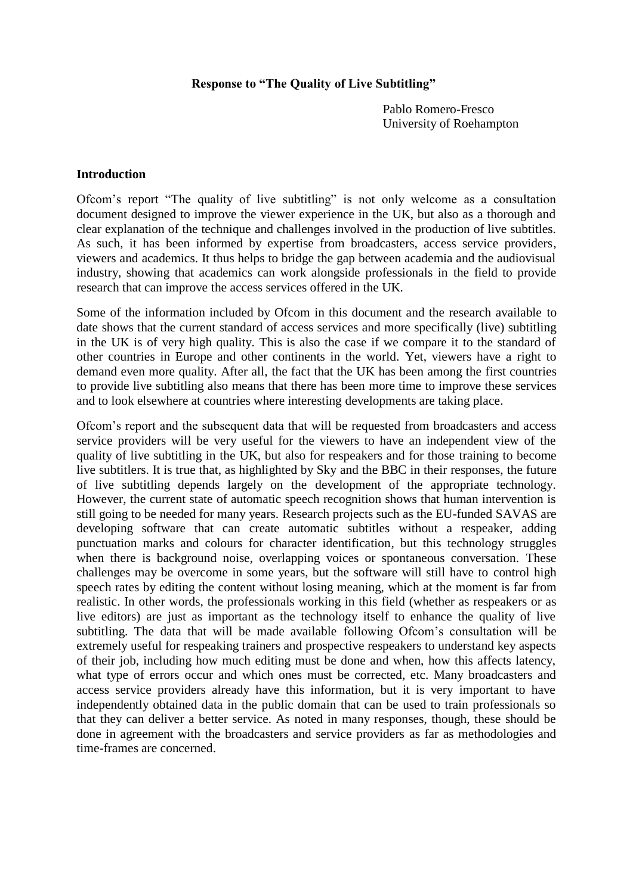#### **Response to "The Quality of Live Subtitling"**

Pablo Romero-Fresco University of Roehampton

#### **Introduction**

Ofcom's report "The quality of live subtitling" is not only welcome as a consultation document designed to improve the viewer experience in the UK, but also as a thorough and clear explanation of the technique and challenges involved in the production of live subtitles. As such, it has been informed by expertise from broadcasters, access service providers, viewers and academics. It thus helps to bridge the gap between academia and the audiovisual industry, showing that academics can work alongside professionals in the field to provide research that can improve the access services offered in the UK.

Some of the information included by Ofcom in this document and the research available to date shows that the current standard of access services and more specifically (live) subtitling in the UK is of very high quality. This is also the case if we compare it to the standard of other countries in Europe and other continents in the world. Yet, viewers have a right to demand even more quality. After all, the fact that the UK has been among the first countries to provide live subtitling also means that there has been more time to improve these services and to look elsewhere at countries where interesting developments are taking place.

Ofcom's report and the subsequent data that will be requested from broadcasters and access service providers will be very useful for the viewers to have an independent view of the quality of live subtitling in the UK, but also for respeakers and for those training to become live subtitlers. It is true that, as highlighted by Sky and the BBC in their responses, the future of live subtitling depends largely on the development of the appropriate technology. However, the current state of automatic speech recognition shows that human intervention is still going to be needed for many years. Research projects such as the EU-funded SAVAS are developing software that can create automatic subtitles without a respeaker, adding punctuation marks and colours for character identification, but this technology struggles when there is background noise, overlapping voices or spontaneous conversation. These challenges may be overcome in some years, but the software will still have to control high speech rates by editing the content without losing meaning, which at the moment is far from realistic. In other words, the professionals working in this field (whether as respeakers or as live editors) are just as important as the technology itself to enhance the quality of live subtitling. The data that will be made available following Ofcom's consultation will be extremely useful for respeaking trainers and prospective respeakers to understand key aspects of their job, including how much editing must be done and when, how this affects latency, what type of errors occur and which ones must be corrected, etc. Many broadcasters and access service providers already have this information, but it is very important to have independently obtained data in the public domain that can be used to train professionals so that they can deliver a better service. As noted in many responses, though, these should be done in agreement with the broadcasters and service providers as far as methodologies and time-frames are concerned.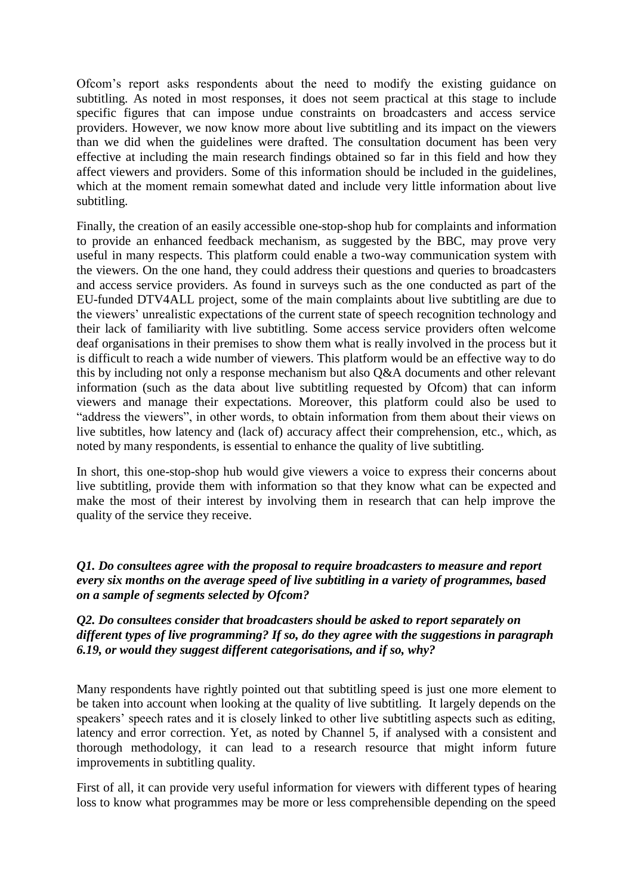Ofcom's report asks respondents about the need to modify the existing guidance on subtitling. As noted in most responses, it does not seem practical at this stage to include specific figures that can impose undue constraints on broadcasters and access service providers. However, we now know more about live subtitling and its impact on the viewers than we did when the guidelines were drafted. The consultation document has been very effective at including the main research findings obtained so far in this field and how they affect viewers and providers. Some of this information should be included in the guidelines, which at the moment remain somewhat dated and include very little information about live subtitling.

Finally, the creation of an easily accessible one-stop-shop hub for complaints and information to provide an enhanced feedback mechanism, as suggested by the BBC, may prove very useful in many respects. This platform could enable a two-way communication system with the viewers. On the one hand, they could address their questions and queries to broadcasters and access service providers. As found in surveys such as the one conducted as part of the EU-funded DTV4ALL project, some of the main complaints about live subtitling are due to the viewers' unrealistic expectations of the current state of speech recognition technology and their lack of familiarity with live subtitling. Some access service providers often welcome deaf organisations in their premises to show them what is really involved in the process but it is difficult to reach a wide number of viewers. This platform would be an effective way to do this by including not only a response mechanism but also Q&A documents and other relevant information (such as the data about live subtitling requested by Ofcom) that can inform viewers and manage their expectations. Moreover, this platform could also be used to "address the viewers", in other words, to obtain information from them about their views on live subtitles, how latency and (lack of) accuracy affect their comprehension, etc., which, as noted by many respondents, is essential to enhance the quality of live subtitling.

In short, this one-stop-shop hub would give viewers a voice to express their concerns about live subtitling, provide them with information so that they know what can be expected and make the most of their interest by involving them in research that can help improve the quality of the service they receive.

*Q1. Do consultees agree with the proposal to require broadcasters to measure and report every six months on the average speed of live subtitling in a variety of programmes, based on a sample of segments selected by Ofcom?*

#### *Q2. Do consultees consider that broadcasters should be asked to report separately on different types of live programming? If so, do they agree with the suggestions in paragraph 6.19, or would they suggest different categorisations, and if so, why?*

Many respondents have rightly pointed out that subtitling speed is just one more element to be taken into account when looking at the quality of live subtitling. It largely depends on the speakers' speech rates and it is closely linked to other live subtitling aspects such as editing, latency and error correction. Yet, as noted by Channel 5, if analysed with a consistent and thorough methodology, it can lead to a research resource that might inform future improvements in subtitling quality.

First of all, it can provide very useful information for viewers with different types of hearing loss to know what programmes may be more or less comprehensible depending on the speed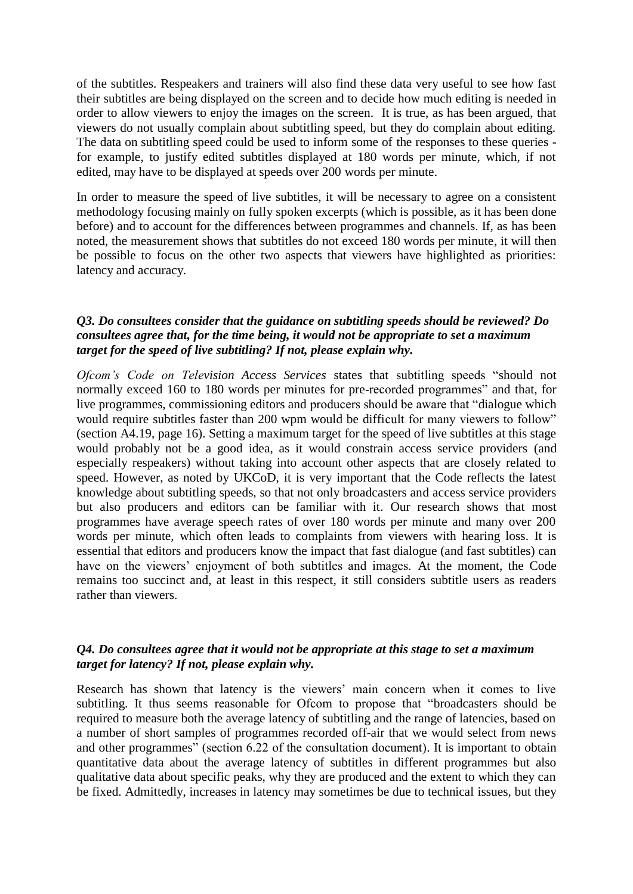of the subtitles. Respeakers and trainers will also find these data very useful to see how fast their subtitles are being displayed on the screen and to decide how much editing is needed in order to allow viewers to enjoy the images on the screen. It is true, as has been argued, that viewers do not usually complain about subtitling speed, but they do complain about editing. The data on subtitling speed could be used to inform some of the responses to these queries for example, to justify edited subtitles displayed at 180 words per minute, which, if not edited, may have to be displayed at speeds over 200 words per minute.

In order to measure the speed of live subtitles, it will be necessary to agree on a consistent methodology focusing mainly on fully spoken excerpts (which is possible, as it has been done before) and to account for the differences between programmes and channels. If, as has been noted, the measurement shows that subtitles do not exceed 180 words per minute, it will then be possible to focus on the other two aspects that viewers have highlighted as priorities: latency and accuracy.

## *Q3. Do consultees consider that the guidance on subtitling speeds should be reviewed? Do consultees agree that, for the time being, it would not be appropriate to set a maximum target for the speed of live subtitling? If not, please explain why.*

*Ofcom's Code on Television Access Services* states that subtitling speeds "should not normally exceed 160 to 180 words per minutes for pre-recorded programmes" and that, for live programmes, commissioning editors and producers should be aware that "dialogue which would require subtitles faster than 200 wpm would be difficult for many viewers to follow" (section A4.19, page 16). Setting a maximum target for the speed of live subtitles at this stage would probably not be a good idea, as it would constrain access service providers (and especially respeakers) without taking into account other aspects that are closely related to speed. However, as noted by UKCoD, it is very important that the Code reflects the latest knowledge about subtitling speeds, so that not only broadcasters and access service providers but also producers and editors can be familiar with it. Our research shows that most programmes have average speech rates of over 180 words per minute and many over 200 words per minute, which often leads to complaints from viewers with hearing loss. It is essential that editors and producers know the impact that fast dialogue (and fast subtitles) can have on the viewers' enjoyment of both subtitles and images. At the moment, the Code remains too succinct and, at least in this respect, it still considers subtitle users as readers rather than viewers.

# *Q4. Do consultees agree that it would not be appropriate at this stage to set a maximum target for latency? If not, please explain why.*

Research has shown that latency is the viewers' main concern when it comes to live subtitling. It thus seems reasonable for Ofcom to propose that "broadcasters should be required to measure both the average latency of subtitling and the range of latencies, based on a number of short samples of programmes recorded off-air that we would select from news and other programmes<sup>"</sup> (section 6.22 of the consultation document). It is important to obtain quantitative data about the average latency of subtitles in different programmes but also qualitative data about specific peaks, why they are produced and the extent to which they can be fixed. Admittedly, increases in latency may sometimes be due to technical issues, but they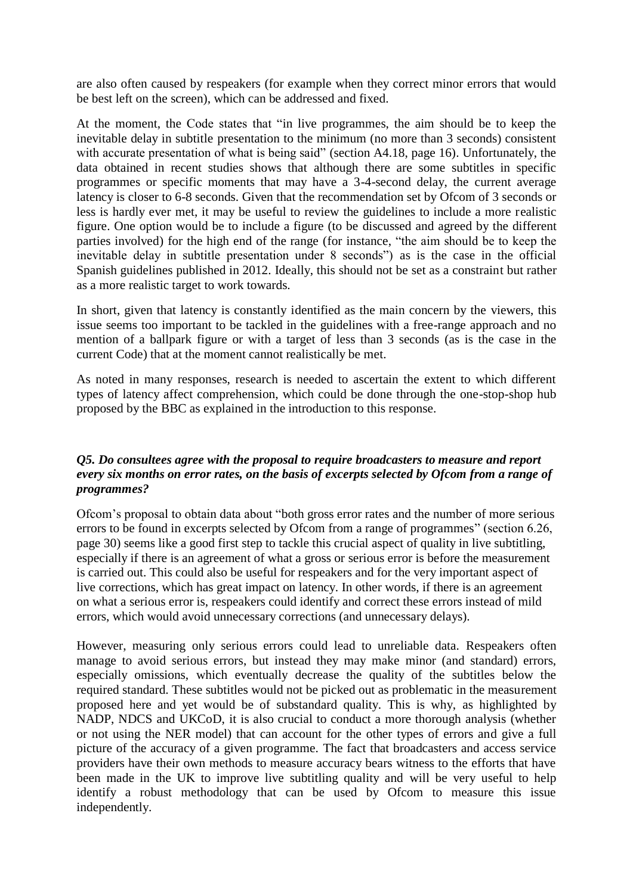are also often caused by respeakers (for example when they correct minor errors that would be best left on the screen), which can be addressed and fixed.

At the moment, the Code states that "in live programmes, the aim should be to keep the inevitable delay in subtitle presentation to the minimum (no more than 3 seconds) consistent with accurate presentation of what is being said" (section A4.18, page 16). Unfortunately, the data obtained in recent studies shows that although there are some subtitles in specific programmes or specific moments that may have a 3-4-second delay, the current average latency is closer to 6-8 seconds. Given that the recommendation set by Ofcom of 3 seconds or less is hardly ever met, it may be useful to review the guidelines to include a more realistic figure. One option would be to include a figure (to be discussed and agreed by the different parties involved) for the high end of the range (for instance, "the aim should be to keep the inevitable delay in subtitle presentation under 8 seconds") as is the case in the official Spanish guidelines published in 2012. Ideally, this should not be set as a constraint but rather as a more realistic target to work towards.

In short, given that latency is constantly identified as the main concern by the viewers, this issue seems too important to be tackled in the guidelines with a free-range approach and no mention of a ballpark figure or with a target of less than 3 seconds (as is the case in the current Code) that at the moment cannot realistically be met.

As noted in many responses, research is needed to ascertain the extent to which different types of latency affect comprehension, which could be done through the one-stop-shop hub proposed by the BBC as explained in the introduction to this response.

## *Q5. Do consultees agree with the proposal to require broadcasters to measure and report every six months on error rates, on the basis of excerpts selected by Ofcom from a range of programmes?*

Ofcom's proposal to obtain data about "both gross error rates and the number of more serious errors to be found in excerpts selected by Ofcom from a range of programmes" (section 6.26, page 30) seems like a good first step to tackle this crucial aspect of quality in live subtitling, especially if there is an agreement of what a gross or serious error is before the measurement is carried out. This could also be useful for respeakers and for the very important aspect of live corrections, which has great impact on latency. In other words, if there is an agreement on what a serious error is, respeakers could identify and correct these errors instead of mild errors, which would avoid unnecessary corrections (and unnecessary delays).

However, measuring only serious errors could lead to unreliable data. Respeakers often manage to avoid serious errors, but instead they may make minor (and standard) errors, especially omissions, which eventually decrease the quality of the subtitles below the required standard. These subtitles would not be picked out as problematic in the measurement proposed here and yet would be of substandard quality. This is why, as highlighted by NADP, NDCS and UKCoD, it is also crucial to conduct a more thorough analysis (whether or not using the NER model) that can account for the other types of errors and give a full picture of the accuracy of a given programme. The fact that broadcasters and access service providers have their own methods to measure accuracy bears witness to the efforts that have been made in the UK to improve live subtitling quality and will be very useful to help identify a robust methodology that can be used by Ofcom to measure this issue independently.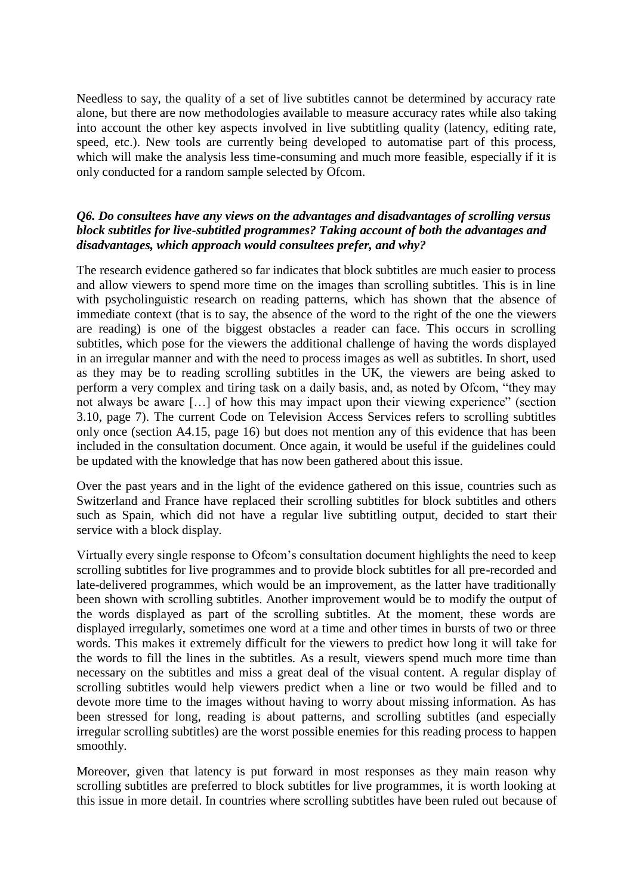Needless to say, the quality of a set of live subtitles cannot be determined by accuracy rate alone, but there are now methodologies available to measure accuracy rates while also taking into account the other key aspects involved in live subtitling quality (latency, editing rate, speed, etc.). New tools are currently being developed to automatise part of this process, which will make the analysis less time-consuming and much more feasible, especially if it is only conducted for a random sample selected by Ofcom.

# *Q6. Do consultees have any views on the advantages and disadvantages of scrolling versus block subtitles for live-subtitled programmes? Taking account of both the advantages and disadvantages, which approach would consultees prefer, and why?*

The research evidence gathered so far indicates that block subtitles are much easier to process and allow viewers to spend more time on the images than scrolling subtitles. This is in line with psycholinguistic research on reading patterns, which has shown that the absence of immediate context (that is to say, the absence of the word to the right of the one the viewers are reading) is one of the biggest obstacles a reader can face. This occurs in scrolling subtitles, which pose for the viewers the additional challenge of having the words displayed in an irregular manner and with the need to process images as well as subtitles. In short, used as they may be to reading scrolling subtitles in the UK, the viewers are being asked to perform a very complex and tiring task on a daily basis, and, as noted by Ofcom, "they may not always be aware […] of how this may impact upon their viewing experience" (section 3.10, page 7). The current Code on Television Access Services refers to scrolling subtitles only once (section A4.15, page 16) but does not mention any of this evidence that has been included in the consultation document. Once again, it would be useful if the guidelines could be updated with the knowledge that has now been gathered about this issue.

Over the past years and in the light of the evidence gathered on this issue, countries such as Switzerland and France have replaced their scrolling subtitles for block subtitles and others such as Spain, which did not have a regular live subtitling output, decided to start their service with a block display.

Virtually every single response to Ofcom's consultation document highlights the need to keep scrolling subtitles for live programmes and to provide block subtitles for all pre-recorded and late-delivered programmes, which would be an improvement, as the latter have traditionally been shown with scrolling subtitles. Another improvement would be to modify the output of the words displayed as part of the scrolling subtitles. At the moment, these words are displayed irregularly, sometimes one word at a time and other times in bursts of two or three words. This makes it extremely difficult for the viewers to predict how long it will take for the words to fill the lines in the subtitles. As a result, viewers spend much more time than necessary on the subtitles and miss a great deal of the visual content. A regular display of scrolling subtitles would help viewers predict when a line or two would be filled and to devote more time to the images without having to worry about missing information. As has been stressed for long, reading is about patterns, and scrolling subtitles (and especially irregular scrolling subtitles) are the worst possible enemies for this reading process to happen smoothly.

Moreover, given that latency is put forward in most responses as they main reason why scrolling subtitles are preferred to block subtitles for live programmes, it is worth looking at this issue in more detail. In countries where scrolling subtitles have been ruled out because of